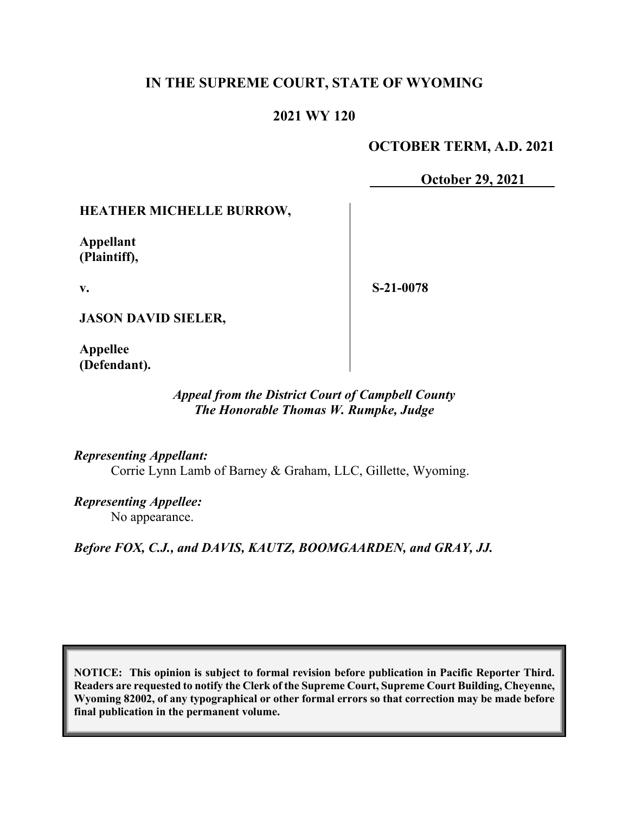# **IN THE SUPREME COURT, STATE OF WYOMING**

## **2021 WY 120**

## **OCTOBER TERM, A.D. 2021**

**October 29, 2021**

#### **HEATHER MICHELLE BURROW,**

**Appellant (Plaintiff),**

**v.**

**S-21-0078**

**JASON DAVID SIELER,**

**Appellee (Defendant).**

#### *Appeal from the District Court of Campbell County The Honorable Thomas W. Rumpke, Judge*

*Representing Appellant:* Corrie Lynn Lamb of Barney & Graham, LLC, Gillette, Wyoming.

*Representing Appellee:* No appearance.

*Before FOX, C.J., and DAVIS, KAUTZ, BOOMGAARDEN, and GRAY, JJ.*

**NOTICE: This opinion is subject to formal revision before publication in Pacific Reporter Third. Readers are requested to notify the Clerk of the Supreme Court, Supreme Court Building, Cheyenne, Wyoming 82002, of any typographical or other formal errors so that correction may be made before final publication in the permanent volume.**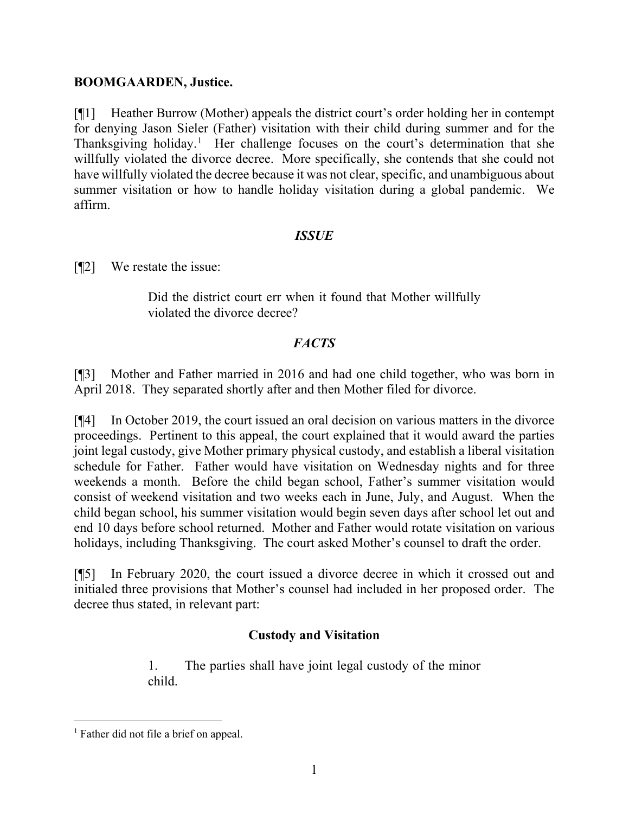#### **BOOMGAARDEN, Justice.**

[¶1] Heather Burrow (Mother) appeals the district court's order holding her in contempt for denying Jason Sieler (Father) visitation with their child during summer and for the Thanksgiving holiday.<sup>[1](#page-1-0)</sup> Her challenge focuses on the court's determination that she willfully violated the divorce decree. More specifically, she contends that she could not have willfully violated the decree because it was not clear, specific, and unambiguous about summer visitation or how to handle holiday visitation during a global pandemic. We affirm.

#### *ISSUE*

[¶2] We restate the issue:

Did the district court err when it found that Mother willfully violated the divorce decree?

## *FACTS*

[¶3] Mother and Father married in 2016 and had one child together, who was born in April 2018. They separated shortly after and then Mother filed for divorce.

[¶4] In October 2019, the court issued an oral decision on various matters in the divorce proceedings. Pertinent to this appeal, the court explained that it would award the parties joint legal custody, give Mother primary physical custody, and establish a liberal visitation schedule for Father. Father would have visitation on Wednesday nights and for three weekends a month. Before the child began school, Father's summer visitation would consist of weekend visitation and two weeks each in June, July, and August. When the child began school, his summer visitation would begin seven days after school let out and end 10 days before school returned. Mother and Father would rotate visitation on various holidays, including Thanksgiving. The court asked Mother's counsel to draft the order.

[¶5] In February 2020, the court issued a divorce decree in which it crossed out and initialed three provisions that Mother's counsel had included in her proposed order. The decree thus stated, in relevant part:

## **Custody and Visitation**

1. The parties shall have joint legal custody of the minor child.

<span id="page-1-0"></span><sup>&</sup>lt;sup>1</sup> Father did not file a brief on appeal.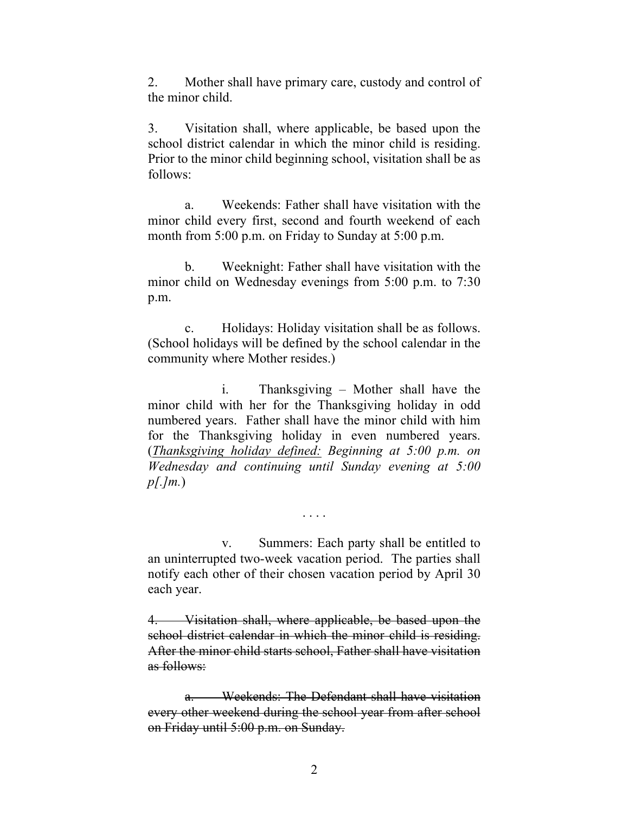2. Mother shall have primary care, custody and control of the minor child.

3. Visitation shall, where applicable, be based upon the school district calendar in which the minor child is residing. Prior to the minor child beginning school, visitation shall be as follows:

a. Weekends: Father shall have visitation with the minor child every first, second and fourth weekend of each month from 5:00 p.m. on Friday to Sunday at 5:00 p.m.

b. Weeknight: Father shall have visitation with the minor child on Wednesday evenings from 5:00 p.m. to 7:30 p.m.

c. Holidays: Holiday visitation shall be as follows. (School holidays will be defined by the school calendar in the community where Mother resides.)

i. Thanksgiving – Mother shall have the minor child with her for the Thanksgiving holiday in odd numbered years. Father shall have the minor child with him for the Thanksgiving holiday in even numbered years. (*Thanksgiving holiday defined: Beginning at 5:00 p.m. on Wednesday and continuing until Sunday evening at 5:00 p[.]m.*)

v. Summers: Each party shall be entitled to an uninterrupted two-week vacation period. The parties shall notify each other of their chosen vacation period by April 30 each year.

. . . .

4. Visitation shall, where applicable, be based upon the school district calendar in which the minor child is residing. After the minor child starts school, Father shall have visitation as follows:

a. Weekends: The Defendant shall have visitation every other weekend during the school year from after school on Friday until 5:00 p.m. on Sunday.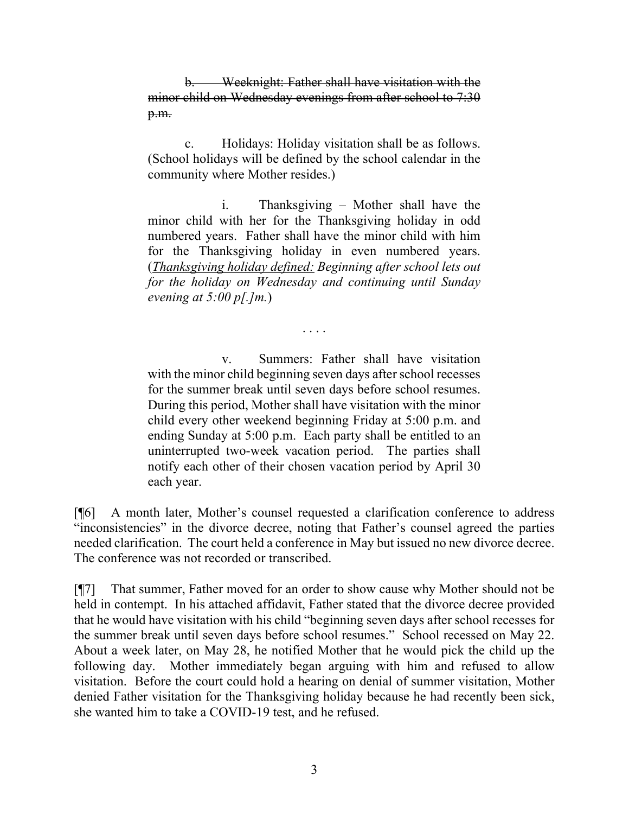b. Weeknight: Father shall have visitation with the minor child on Wednesday evenings from after school to 7:30 p.m.

c. Holidays: Holiday visitation shall be as follows. (School holidays will be defined by the school calendar in the community where Mother resides.)

i. Thanksgiving – Mother shall have the minor child with her for the Thanksgiving holiday in odd numbered years. Father shall have the minor child with him for the Thanksgiving holiday in even numbered years. (*Thanksgiving holiday defined: Beginning after school lets out for the holiday on Wednesday and continuing until Sunday evening at 5:00 p[.]m.*)

. . . .

v. Summers: Father shall have visitation with the minor child beginning seven days after school recesses for the summer break until seven days before school resumes. During this period, Mother shall have visitation with the minor child every other weekend beginning Friday at 5:00 p.m. and ending Sunday at 5:00 p.m. Each party shall be entitled to an uninterrupted two-week vacation period. The parties shall notify each other of their chosen vacation period by April 30 each year.

[¶6] A month later, Mother's counsel requested a clarification conference to address "inconsistencies" in the divorce decree, noting that Father's counsel agreed the parties needed clarification. The court held a conference in May but issued no new divorce decree. The conference was not recorded or transcribed.

[¶7] That summer, Father moved for an order to show cause why Mother should not be held in contempt. In his attached affidavit, Father stated that the divorce decree provided that he would have visitation with his child "beginning seven days after school recesses for the summer break until seven days before school resumes." School recessed on May 22. About a week later, on May 28, he notified Mother that he would pick the child up the following day. Mother immediately began arguing with him and refused to allow visitation. Before the court could hold a hearing on denial of summer visitation, Mother denied Father visitation for the Thanksgiving holiday because he had recently been sick, she wanted him to take a COVID-19 test, and he refused.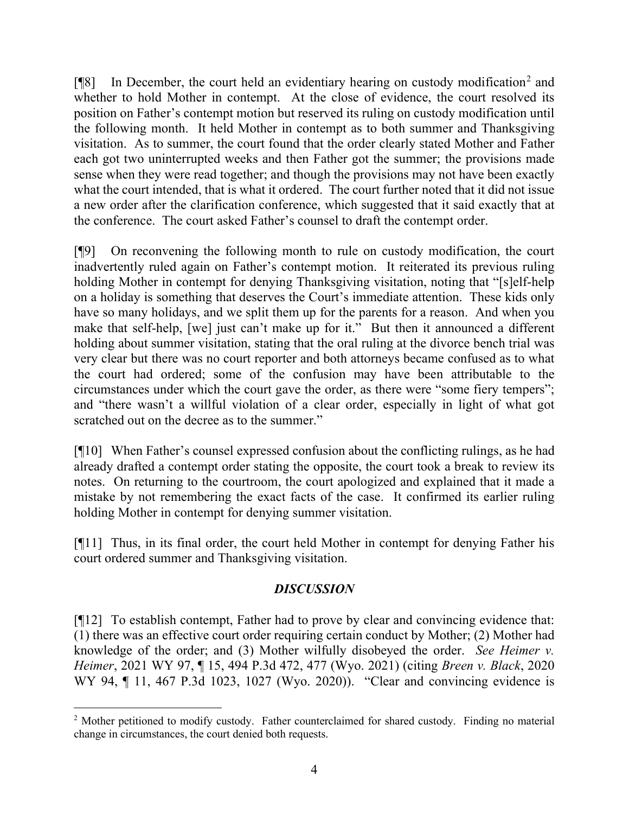$[$ [[8] In December, the court held an evidentiary hearing on custody modification<sup>[2](#page-4-0)</sup> and whether to hold Mother in contempt. At the close of evidence, the court resolved its position on Father's contempt motion but reserved its ruling on custody modification until the following month. It held Mother in contempt as to both summer and Thanksgiving visitation. As to summer, the court found that the order clearly stated Mother and Father each got two uninterrupted weeks and then Father got the summer; the provisions made sense when they were read together; and though the provisions may not have been exactly what the court intended, that is what it ordered. The court further noted that it did not issue a new order after the clarification conference, which suggested that it said exactly that at the conference. The court asked Father's counsel to draft the contempt order.

[¶9] On reconvening the following month to rule on custody modification, the court inadvertently ruled again on Father's contempt motion. It reiterated its previous ruling holding Mother in contempt for denying Thanksgiving visitation, noting that "[s]elf-help on a holiday is something that deserves the Court's immediate attention. These kids only have so many holidays, and we split them up for the parents for a reason. And when you make that self-help, [we] just can't make up for it." But then it announced a different holding about summer visitation, stating that the oral ruling at the divorce bench trial was very clear but there was no court reporter and both attorneys became confused as to what the court had ordered; some of the confusion may have been attributable to the circumstances under which the court gave the order, as there were "some fiery tempers"; and "there wasn't a willful violation of a clear order, especially in light of what got scratched out on the decree as to the summer."

[¶10] When Father's counsel expressed confusion about the conflicting rulings, as he had already drafted a contempt order stating the opposite, the court took a break to review its notes. On returning to the courtroom, the court apologized and explained that it made a mistake by not remembering the exact facts of the case. It confirmed its earlier ruling holding Mother in contempt for denying summer visitation.

[¶11] Thus, in its final order, the court held Mother in contempt for denying Father his court ordered summer and Thanksgiving visitation.

## *DISCUSSION*

[¶12] To establish contempt, Father had to prove by clear and convincing evidence that: (1) there was an effective court order requiring certain conduct by Mother; (2) Mother had knowledge of the order; and (3) Mother wilfully disobeyed the order. *See Heimer v. Heimer*, 2021 WY 97, ¶ 15, 494 P.3d 472, 477 (Wyo. 2021) (citing *Breen v. Black*, 2020 WY 94, ¶ 11, 467 P.3d 1023, 1027 (Wyo. 2020)). "Clear and convincing evidence is

<span id="page-4-0"></span><sup>&</sup>lt;sup>2</sup> Mother petitioned to modify custody. Father counterclaimed for shared custody. Finding no material change in circumstances, the court denied both requests.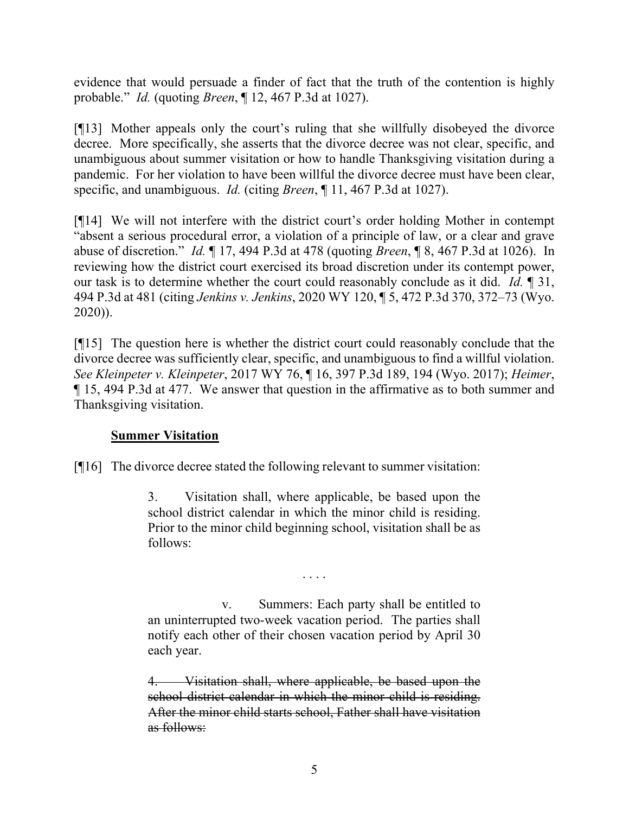evidence that would persuade a finder of fact that the truth of the contention is highly probable." *Id.* (quoting *Breen*, ¶ 12, 467 P.3d at 1027).

[¶13] Mother appeals only the court's ruling that she willfully disobeyed the divorce decree. More specifically, she asserts that the divorce decree was not clear, specific, and unambiguous about summer visitation or how to handle Thanksgiving visitation during a pandemic. For her violation to have been willful the divorce decree must have been clear, specific, and unambiguous. *Id.* (citing *Breen*, ¶ 11, 467 P.3d at 1027).

[¶14] We will not interfere with the district court's order holding Mother in contempt "absent a serious procedural error, a violation of a principle of law, or a clear and grave abuse of discretion." *Id.* ¶ 17, 494 P.3d at 478 (quoting *Breen*, ¶ 8, 467 P.3d at 1026). In reviewing how the district court exercised its broad discretion under its contempt power, our task is to determine whether the court could reasonably conclude as it did. *Id.* ¶ 31, 494 P.3d at 481 (citing *Jenkins v. Jenkins*, 2020 WY 120, ¶ 5, 472 P.3d 370, 372–73 (Wyo. 2020)).

[¶15] The question here is whether the district court could reasonably conclude that the divorce decree was sufficiently clear, specific, and unambiguous to find a willful violation. *See Kleinpeter v. Kleinpeter*, 2017 WY 76, ¶ 16, 397 P.3d 189, 194 (Wyo. 2017); *Heimer*, ¶ 15, 494 P.3d at 477. We answer that question in the affirmative as to both summer and Thanksgiving visitation.

## **Summer Visitation**

[¶16] The divorce decree stated the following relevant to summer visitation:

3. Visitation shall, where applicable, be based upon the school district calendar in which the minor child is residing. Prior to the minor child beginning school, visitation shall be as follows:

v. Summers: Each party shall be entitled to an uninterrupted two-week vacation period. The parties shall notify each other of their chosen vacation period by April 30 each year.

. . . .

4. Visitation shall, where applicable, be based upon the school district calendar in which the minor child is residing. After the minor child starts school, Father shall have visitation as follows: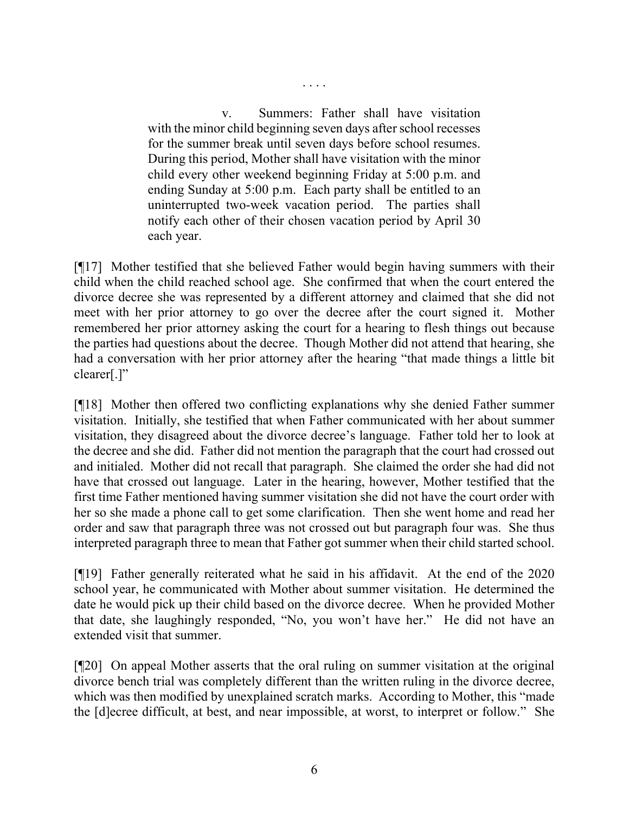v. Summers: Father shall have visitation with the minor child beginning seven days after school recesses for the summer break until seven days before school resumes. During this period, Mother shall have visitation with the minor child every other weekend beginning Friday at 5:00 p.m. and ending Sunday at 5:00 p.m. Each party shall be entitled to an uninterrupted two-week vacation period. The parties shall notify each other of their chosen vacation period by April 30 each year.

. . . .

[¶17] Mother testified that she believed Father would begin having summers with their child when the child reached school age. She confirmed that when the court entered the divorce decree she was represented by a different attorney and claimed that she did not meet with her prior attorney to go over the decree after the court signed it. Mother remembered her prior attorney asking the court for a hearing to flesh things out because the parties had questions about the decree. Though Mother did not attend that hearing, she had a conversation with her prior attorney after the hearing "that made things a little bit clearer[.]"

[¶18] Mother then offered two conflicting explanations why she denied Father summer visitation. Initially, she testified that when Father communicated with her about summer visitation, they disagreed about the divorce decree's language. Father told her to look at the decree and she did. Father did not mention the paragraph that the court had crossed out and initialed. Mother did not recall that paragraph. She claimed the order she had did not have that crossed out language. Later in the hearing, however, Mother testified that the first time Father mentioned having summer visitation she did not have the court order with her so she made a phone call to get some clarification. Then she went home and read her order and saw that paragraph three was not crossed out but paragraph four was. She thus interpreted paragraph three to mean that Father got summer when their child started school.

[¶19] Father generally reiterated what he said in his affidavit. At the end of the 2020 school year, he communicated with Mother about summer visitation. He determined the date he would pick up their child based on the divorce decree. When he provided Mother that date, she laughingly responded, "No, you won't have her." He did not have an extended visit that summer.

[¶20] On appeal Mother asserts that the oral ruling on summer visitation at the original divorce bench trial was completely different than the written ruling in the divorce decree, which was then modified by unexplained scratch marks. According to Mother, this "made the [d]ecree difficult, at best, and near impossible, at worst, to interpret or follow." She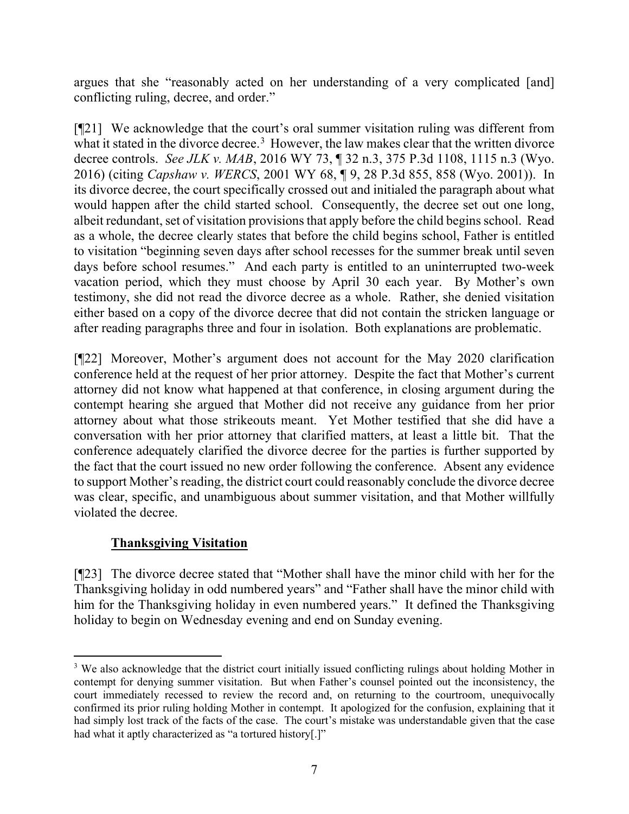argues that she "reasonably acted on her understanding of a very complicated [and] conflicting ruling, decree, and order."

[¶21] We acknowledge that the court's oral summer visitation ruling was different from what it stated in the divorce decree.<sup>[3](#page-7-0)</sup> However, the law makes clear that the written divorce decree controls. *See JLK v. MAB*, 2016 WY 73, ¶ 32 n.3, 375 P.3d 1108, 1115 n.3 (Wyo. 2016) (citing *Capshaw v. WERCS*, 2001 WY 68, ¶ 9, 28 P.3d 855, 858 (Wyo. 2001)). In its divorce decree, the court specifically crossed out and initialed the paragraph about what would happen after the child started school. Consequently, the decree set out one long, albeit redundant, set of visitation provisions that apply before the child begins school. Read as a whole, the decree clearly states that before the child begins school, Father is entitled to visitation "beginning seven days after school recesses for the summer break until seven days before school resumes." And each party is entitled to an uninterrupted two-week vacation period, which they must choose by April 30 each year. By Mother's own testimony, she did not read the divorce decree as a whole. Rather, she denied visitation either based on a copy of the divorce decree that did not contain the stricken language or after reading paragraphs three and four in isolation. Both explanations are problematic.

[¶22] Moreover, Mother's argument does not account for the May 2020 clarification conference held at the request of her prior attorney. Despite the fact that Mother's current attorney did not know what happened at that conference, in closing argument during the contempt hearing she argued that Mother did not receive any guidance from her prior attorney about what those strikeouts meant. Yet Mother testified that she did have a conversation with her prior attorney that clarified matters, at least a little bit. That the conference adequately clarified the divorce decree for the parties is further supported by the fact that the court issued no new order following the conference. Absent any evidence to support Mother's reading, the district court could reasonably conclude the divorce decree was clear, specific, and unambiguous about summer visitation, and that Mother willfully violated the decree.

# **Thanksgiving Visitation**

[¶23] The divorce decree stated that "Mother shall have the minor child with her for the Thanksgiving holiday in odd numbered years" and "Father shall have the minor child with him for the Thanksgiving holiday in even numbered years." It defined the Thanksgiving holiday to begin on Wednesday evening and end on Sunday evening.

<span id="page-7-0"></span><sup>&</sup>lt;sup>3</sup> We also acknowledge that the district court initially issued conflicting rulings about holding Mother in contempt for denying summer visitation. But when Father's counsel pointed out the inconsistency, the court immediately recessed to review the record and, on returning to the courtroom, unequivocally confirmed its prior ruling holding Mother in contempt. It apologized for the confusion, explaining that it had simply lost track of the facts of the case. The court's mistake was understandable given that the case had what it aptly characterized as "a tortured history[.]"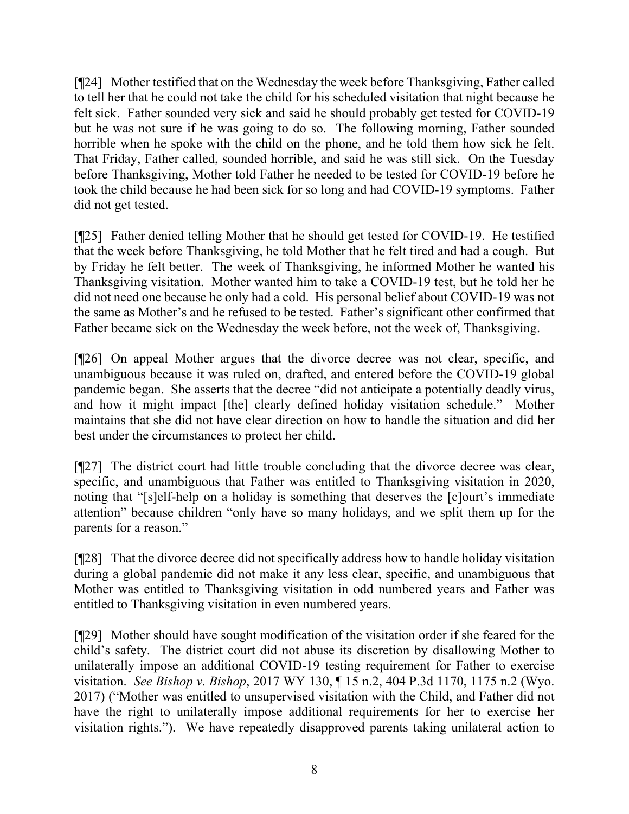[¶24] Mother testified that on the Wednesday the week before Thanksgiving, Father called to tell her that he could not take the child for his scheduled visitation that night because he felt sick. Father sounded very sick and said he should probably get tested for COVID-19 but he was not sure if he was going to do so. The following morning, Father sounded horrible when he spoke with the child on the phone, and he told them how sick he felt. That Friday, Father called, sounded horrible, and said he was still sick. On the Tuesday before Thanksgiving, Mother told Father he needed to be tested for COVID-19 before he took the child because he had been sick for so long and had COVID-19 symptoms. Father did not get tested.

[¶25] Father denied telling Mother that he should get tested for COVID-19. He testified that the week before Thanksgiving, he told Mother that he felt tired and had a cough. But by Friday he felt better. The week of Thanksgiving, he informed Mother he wanted his Thanksgiving visitation. Mother wanted him to take a COVID-19 test, but he told her he did not need one because he only had a cold. His personal belief about COVID-19 was not the same as Mother's and he refused to be tested. Father's significant other confirmed that Father became sick on the Wednesday the week before, not the week of, Thanksgiving.

[¶26] On appeal Mother argues that the divorce decree was not clear, specific, and unambiguous because it was ruled on, drafted, and entered before the COVID-19 global pandemic began. She asserts that the decree "did not anticipate a potentially deadly virus, and how it might impact [the] clearly defined holiday visitation schedule." Mother maintains that she did not have clear direction on how to handle the situation and did her best under the circumstances to protect her child.

[¶27] The district court had little trouble concluding that the divorce decree was clear, specific, and unambiguous that Father was entitled to Thanksgiving visitation in 2020, noting that "[s]elf-help on a holiday is something that deserves the [c]ourt's immediate attention" because children "only have so many holidays, and we split them up for the parents for a reason."

[¶28] That the divorce decree did not specifically address how to handle holiday visitation during a global pandemic did not make it any less clear, specific, and unambiguous that Mother was entitled to Thanksgiving visitation in odd numbered years and Father was entitled to Thanksgiving visitation in even numbered years.

[¶29] Mother should have sought modification of the visitation order if she feared for the child's safety. The district court did not abuse its discretion by disallowing Mother to unilaterally impose an additional COVID-19 testing requirement for Father to exercise visitation. *See Bishop v. Bishop*, 2017 WY 130, ¶ 15 n.2, 404 P.3d 1170, 1175 n.2 (Wyo. 2017) ("Mother was entitled to unsupervised visitation with the Child, and Father did not have the right to unilaterally impose additional requirements for her to exercise her visitation rights."). We have repeatedly disapproved parents taking unilateral action to